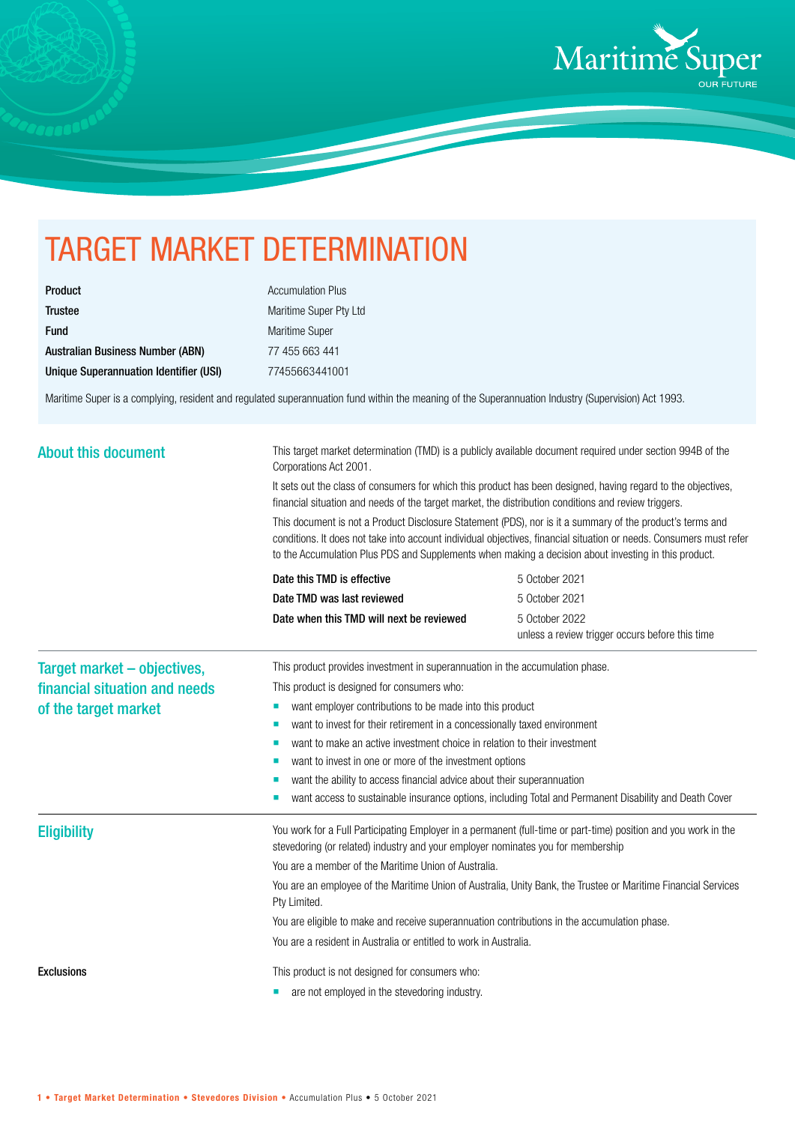

## TARGET MARKET DETERMINATION

| <b>Product</b>                          |
|-----------------------------------------|
| <b>Trustee</b>                          |
| <b>Fund</b>                             |
| <b>Australian Business Number (ABN)</b> |
| Unique Superannuation Identifier (USI)  |

**Accumulation Plus** Maritime Super Pty Ltd Maritime Super 77 455 663 441 Unique Superannuation Identifier (USI) 77455663441001

Maritime Super is a complying, resident and regulated superannuation fund within the meaning of the Superannuation Industry (Supervision) Act 1993.

| <b>About this document</b>                                   | This target market determination (TMD) is a publicly available document required under section 994B of the<br>Corporations Act 2001.<br>It sets out the class of consumers for which this product has been designed, having regard to the objectives,<br>financial situation and needs of the target market, the distribution conditions and review triggers. |                                                                   |  |
|--------------------------------------------------------------|---------------------------------------------------------------------------------------------------------------------------------------------------------------------------------------------------------------------------------------------------------------------------------------------------------------------------------------------------------------|-------------------------------------------------------------------|--|
|                                                              |                                                                                                                                                                                                                                                                                                                                                               |                                                                   |  |
|                                                              | This document is not a Product Disclosure Statement (PDS), nor is it a summary of the product's terms and<br>conditions. It does not take into account individual objectives, financial situation or needs. Consumers must refer<br>to the Accumulation Plus PDS and Supplements when making a decision about investing in this product.                      |                                                                   |  |
|                                                              | Date this TMD is effective                                                                                                                                                                                                                                                                                                                                    | 5 October 2021                                                    |  |
|                                                              | Date TMD was last reviewed                                                                                                                                                                                                                                                                                                                                    | 5 October 2021                                                    |  |
|                                                              | Date when this TMD will next be reviewed                                                                                                                                                                                                                                                                                                                      | 5 October 2022<br>unless a review trigger occurs before this time |  |
| Target market - objectives,<br>financial situation and needs | This product provides investment in superannuation in the accumulation phase.<br>This product is designed for consumers who:                                                                                                                                                                                                                                  |                                                                   |  |
| of the target market                                         | want employer contributions to be made into this product<br>ш                                                                                                                                                                                                                                                                                                 |                                                                   |  |
|                                                              | want to invest for their retirement in a concessionally taxed environment<br>ш                                                                                                                                                                                                                                                                                |                                                                   |  |
|                                                              | want to make an active investment choice in relation to their investment<br>п                                                                                                                                                                                                                                                                                 |                                                                   |  |
|                                                              | want to invest in one or more of the investment options                                                                                                                                                                                                                                                                                                       |                                                                   |  |
|                                                              | want the ability to access financial advice about their superannuation                                                                                                                                                                                                                                                                                        |                                                                   |  |
|                                                              | want access to sustainable insurance options, including Total and Permanent Disability and Death Cover                                                                                                                                                                                                                                                        |                                                                   |  |
| <b>Eligibility</b>                                           | You work for a Full Participating Employer in a permanent (full-time or part-time) position and you work in the<br>stevedoring (or related) industry and your employer nominates you for membership                                                                                                                                                           |                                                                   |  |
|                                                              | You are a member of the Maritime Union of Australia.                                                                                                                                                                                                                                                                                                          |                                                                   |  |
|                                                              | You are an employee of the Maritime Union of Australia, Unity Bank, the Trustee or Maritime Financial Services<br>Pty Limited.                                                                                                                                                                                                                                |                                                                   |  |
|                                                              | You are eligible to make and receive superannuation contributions in the accumulation phase.                                                                                                                                                                                                                                                                  |                                                                   |  |
|                                                              | You are a resident in Australia or entitled to work in Australia.                                                                                                                                                                                                                                                                                             |                                                                   |  |
| <b>Exclusions</b>                                            | This product is not designed for consumers who:                                                                                                                                                                                                                                                                                                               |                                                                   |  |
|                                                              | are not employed in the stevedoring industry.                                                                                                                                                                                                                                                                                                                 |                                                                   |  |
|                                                              |                                                                                                                                                                                                                                                                                                                                                               |                                                                   |  |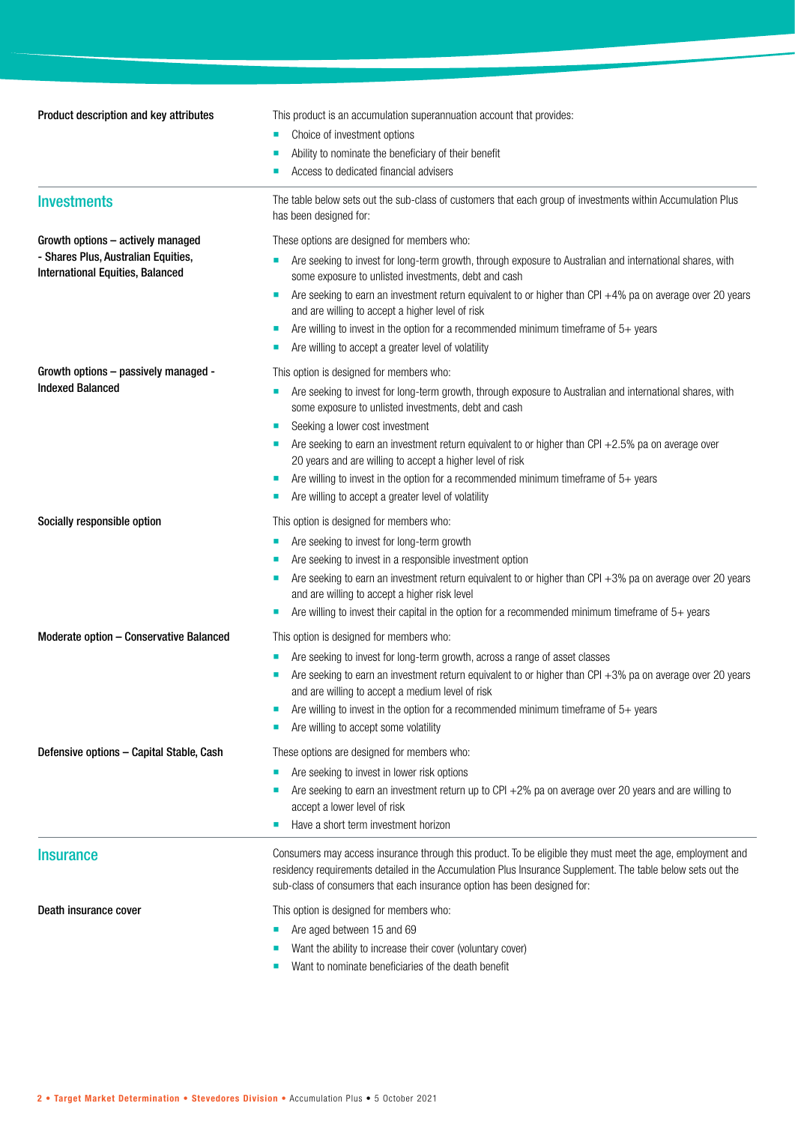**Product description and key attributes** This product is an accumulation superannuation account that provides: Choice of investment options Ability to nominate the beneficiary of their benefit Access to dedicated financial advisers Investments The table below sets out the sub-class of customers that each group of investments within Accumulation Plus has been designed for: Growth options – actively managed - Shares Plus, Australian Equities, International Equities, Balanced These options are designed for members who: Are seeking to invest for long-term growth, through exposure to Australian and international shares, with some exposure to unlisted investments, debt and cash Are seeking to earn an investment return equivalent to or higher than CPI +4% pa on average over 20 years and are willing to accept a higher level of risk Are willing to invest in the option for a recommended minimum timeframe of 5+ years Are willing to accept a greater level of volatility Growth options – passively managed - Indexed Balanced This option is designed for members who: **Are seeking to invest for long-term growth, through exposure to Australian and international shares, with** some exposure to unlisted investments, debt and cash Seeking a lower cost investment Are seeking to earn an investment return equivalent to or higher than CPI +2.5% pa on average over 20 years and are willing to accept a higher level of risk Are willing to invest in the option for a recommended minimum timeframe of 5+ years Are willing to accept a greater level of volatility Socially responsible option This option is designed for members who: **Are seeking to invest for long-term growth**  Are seeking to invest in a responsible investment option Are seeking to earn an investment return equivalent to or higher than CPI +3% pa on average over 20 years and are willing to accept a higher risk level Are willing to invest their capital in the option for a recommended minimum timeframe of 5+ years **Moderate option – Conservative Balanced** This option is designed for members who: **Are seeking to invest for long-term growth, across a range of asset classes**  Are seeking to earn an investment return equivalent to or higher than CPI +3% pa on average over 20 years and are willing to accept a medium level of risk Are willing to invest in the option for a recommended minimum timeframe of 5+ years Are willing to accept some volatility Defensive options - Capital Stable, Cash These options are designed for members who: Are seeking to invest in lower risk options Are seeking to earn an investment return up to CPI +2% pa on average over 20 years and are willing to accept a lower level of risk Have a short term investment horizon Insurance **Insurance** Consumers may access insurance through this product. To be eligible they must meet the age, employment and residency requirements detailed in the Accumulation Plus Insurance Supplement. The table below sets out the sub-class of consumers that each insurance option has been designed for: **Death insurance cover** This option is designed for members who: **Are aged between 15 and 69**  Want the ability to increase their cover (voluntary cover) Want to nominate beneficiaries of the death benefit